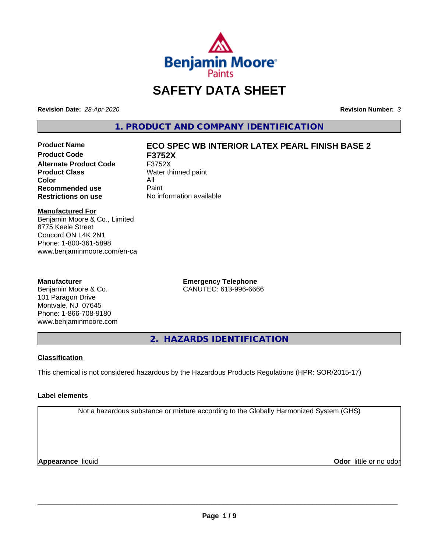

# **SAFETY DATA SHEET**

**Revision Date:** *28-Apr-2020* **Revision Number:** *3*

**1. PRODUCT AND COMPANY IDENTIFICATION**

**Product Code F3752X Alternate Product Code** F3752X<br> **Product Class** Water th **Color** All<br> **Recommended use** Paint **Recommended use**<br>Restrictions on use

## **Product Name ECO SPEC WB INTERIOR LATEX PEARL FINISH BASE 2**

**Water thinned paint Restrictions on use** No information available

#### **Manufactured For**

Benjamin Moore & Co., Limited 8775 Keele Street Concord ON L4K 2N1 Phone: 1-800-361-5898 www.benjaminmoore.com/en-ca

#### **Manufacturer**

Benjamin Moore & Co. 101 Paragon Drive Montvale, NJ 07645 Phone: 1-866-708-9180 www.benjaminmoore.com **Emergency Telephone** CANUTEC: 613-996-6666

**2. HAZARDS IDENTIFICATION**

#### **Classification**

This chemical is not considered hazardous by the Hazardous Products Regulations (HPR: SOR/2015-17)

#### **Label elements**

Not a hazardous substance or mixture according to the Globally Harmonized System (GHS)

**Appearance** liquid **CODO** *Appearance liquid* **Odor** *CODO CODO* **<b>***CODO CODO CODO CODO CODO*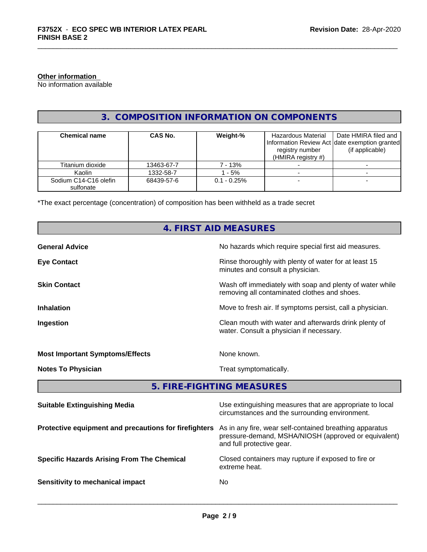#### **Other information**

No information available

#### **3. COMPOSITION INFORMATION ON COMPONENTS**

| <b>Chemical name</b>               | CAS No.    | Weight-%       | Hazardous Material<br>registry number<br>(HMIRA registry $#$ ) | Date HMIRA filed and<br>Information Review Act Idate exemption granted<br>(if applicable) |
|------------------------------------|------------|----------------|----------------------------------------------------------------|-------------------------------------------------------------------------------------------|
| Titanium dioxide                   | 13463-67-7 | 7 - 13%        |                                                                |                                                                                           |
| Kaolin                             | 1332-58-7  | $-5%$          |                                                                |                                                                                           |
| Sodium C14-C16 olefin<br>sulfonate | 68439-57-6 | $0.1 - 0.25\%$ |                                                                |                                                                                           |

\*The exact percentage (concentration) of composition has been withheld as a trade secret

## **4. FIRST AID MEASURES**

| <b>General Advice</b>                  | No hazards which require special first aid measures.                                                     |
|----------------------------------------|----------------------------------------------------------------------------------------------------------|
| <b>Eye Contact</b>                     | Rinse thoroughly with plenty of water for at least 15<br>minutes and consult a physician.                |
| <b>Skin Contact</b>                    | Wash off immediately with soap and plenty of water while<br>removing all contaminated clothes and shoes. |
| <b>Inhalation</b>                      | Move to fresh air. If symptoms persist, call a physician.                                                |
| Ingestion                              | Clean mouth with water and afterwards drink plenty of<br>water. Consult a physician if necessary.        |
| <b>Most Important Symptoms/Effects</b> | None known.                                                                                              |
| <b>Notes To Physician</b>              | Treat symptomatically.                                                                                   |

### **5. FIRE-FIGHTING MEASURES**

| <b>Suitable Extinguishing Media</b>                   | Use extinguishing measures that are appropriate to local<br>circumstances and the surrounding environment.                                   |
|-------------------------------------------------------|----------------------------------------------------------------------------------------------------------------------------------------------|
| Protective equipment and precautions for firefighters | As in any fire, wear self-contained breathing apparatus<br>pressure-demand, MSHA/NIOSH (approved or equivalent)<br>and full protective gear. |
| <b>Specific Hazards Arising From The Chemical</b>     | Closed containers may rupture if exposed to fire or<br>extreme heat.                                                                         |
| Sensitivity to mechanical impact                      | No.                                                                                                                                          |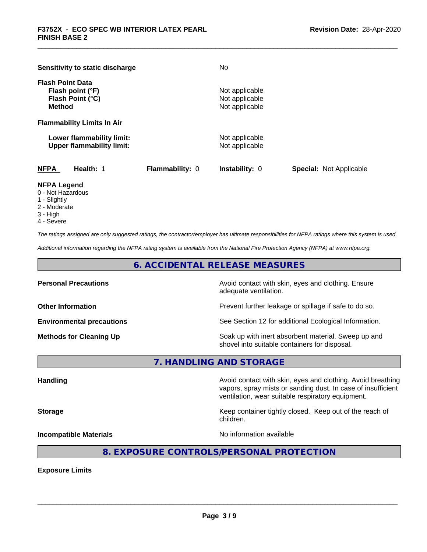| Sensitivity to static discharge                                                  |                        | No                                                 |                                |
|----------------------------------------------------------------------------------|------------------------|----------------------------------------------------|--------------------------------|
| <b>Flash Point Data</b><br>Flash point (°F)<br>Flash Point (°C)<br><b>Method</b> |                        | Not applicable<br>Not applicable<br>Not applicable |                                |
| <b>Flammability Limits In Air</b>                                                |                        |                                                    |                                |
| Lower flammability limit:<br><b>Upper flammability limit:</b>                    |                        | Not applicable<br>Not applicable                   |                                |
| <b>NFPA</b><br>Health: 1                                                         | <b>Flammability: 0</b> | <b>Instability: 0</b>                              | <b>Special: Not Applicable</b> |

#### **NFPA Legend**

- 0 Not Hazardous
- 1 Slightly
- 2 Moderate
- 3 High
- 4 Severe

*The ratings assigned are only suggested ratings, the contractor/employer has ultimate responsibilities for NFPA ratings where this system is used.*

*Additional information regarding the NFPA rating system is available from the National Fire Protection Agency (NFPA) at www.nfpa.org.*

**6. ACCIDENTAL RELEASE MEASURES**

**Personal Precautions Avoid contact with skin, eyes and clothing. Ensure** Avoid contact with skin, eyes and clothing. Ensure adequate ventilation.

**Other Information Discription Prevent further leakage or spillage if safe to do so.** 

**Environmental precautions** See Section 12 for additional Ecological Information.

**Methods for Cleaning Up Example 20 Soak** up with inert absorbent material. Sweep up and shovel into suitable containers for disposal.

**7. HANDLING AND STORAGE**

**Handling Handling Avoid contact with skin, eyes and clothing. Avoid breathing** vapors, spray mists or sanding dust. In case of insufficient ventilation, wear suitable respiratory equipment.

**Storage** Keep container tightly closed. Keep out of the reach of

**Incompatible Materials** Noinformation available

 $\overline{\phantom{a}}$  ,  $\overline{\phantom{a}}$  ,  $\overline{\phantom{a}}$  ,  $\overline{\phantom{a}}$  ,  $\overline{\phantom{a}}$  ,  $\overline{\phantom{a}}$  ,  $\overline{\phantom{a}}$  ,  $\overline{\phantom{a}}$  ,  $\overline{\phantom{a}}$  ,  $\overline{\phantom{a}}$  ,  $\overline{\phantom{a}}$  ,  $\overline{\phantom{a}}$  ,  $\overline{\phantom{a}}$  ,  $\overline{\phantom{a}}$  ,  $\overline{\phantom{a}}$  ,  $\overline{\phantom{a}}$ 

#### **8. EXPOSURE CONTROLS/PERSONAL PROTECTION**

children.

**Exposure Limits**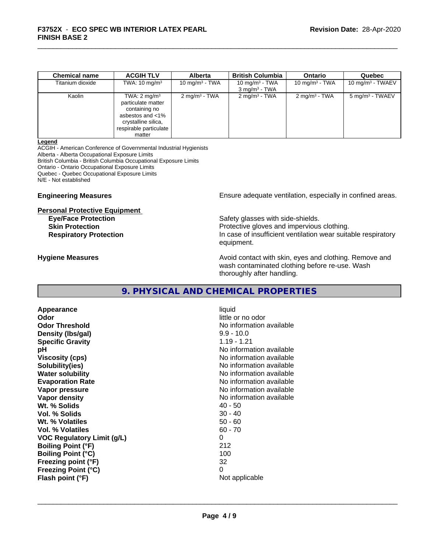| <b>Chemical name</b> | <b>ACGIH TLV</b>                                                                                                                              | <b>Alberta</b>          | <b>British Columbia</b>                       | <b>Ontario</b>           | Quebec                      |
|----------------------|-----------------------------------------------------------------------------------------------------------------------------------------------|-------------------------|-----------------------------------------------|--------------------------|-----------------------------|
| Titanium dioxide     | TWA: $10 \text{ mg/m}^3$                                                                                                                      | 10 mg/m $3$ - TWA       | 10 mg/m $3$ - TWA<br>$3 \text{ mg/m}^3$ - TWA | 10 mg/m $3$ - TWA        | $10 \text{ mg/m}^3$ - TWAEV |
| Kaolin               | TWA: $2 \text{ mg/m}^3$<br>particulate matter<br>containing no<br>asbestos and <1%<br>crystalline silica,<br>respirable particulate<br>matter | $2 \text{mq/m}^3$ - TWA | $2 \text{ mg/m}^3$ - TWA                      | $2 \text{ mg/m}^3$ - TWA | 5 mg/m <sup>3</sup> - TWAEV |

#### **Legend**

ACGIH - American Conference of Governmental Industrial Hygienists Alberta - Alberta Occupational Exposure Limits British Columbia - British Columbia Occupational Exposure Limits Ontario - Ontario Occupational Exposure Limits Quebec - Quebec Occupational Exposure Limits N/E - Not established

# **Personal Protective Equipment**

**Engineering Measures Engineering Measures Engineering Measures Ensure adequate ventilation, especially in confined areas.** 

**Eye/Face Protection Safety glasses with side-shields. Skin Protection Protection Protective gloves and impervious clothing. Respiratory Protection In case of insufficient ventilation wear suitable respiratory** equipment.

**Hygiene Measures Avoid contact with skin, eyes and clothing. Remove and Avoid contact with skin, eyes and clothing. Remove and Avoid contact with skin, eyes and clothing. Remove and** wash contaminated clothing before re-use. Wash thoroughly after handling.

#### **9. PHYSICAL AND CHEMICAL PROPERTIES**

**Appearance** liquid **Odor** little or no odor **Odor Threshold No information available No information available Density (Ibs/gal)** 9.9 - 10.0<br> **Specific Gravity** 1.19 - 1.21 **Specific Gravity pH**<br>
Viscosity (cps) The Contract of Contract Contract Contract Contract Contract Contract No information available **Solubility(ies)** No information available **Water solubility** No information available **Evaporation Rate No information available No information available Vapor pressure** No information available No information available **Vapor density No information available No information available Wt. % Solids** 40 - 50 **Vol. % Solids Wt. % Volatiles** 50 - 60 **Vol. % Volatiles VOC Regulatory Limit (g/L)** 0 **Boiling Point (°F)** 212 **Boiling Point (°C) Freezing point (°F)** 32 **Freezing Point (°C)** 0 **Flash point (°F)** 

**Viscosity (cps)** No information available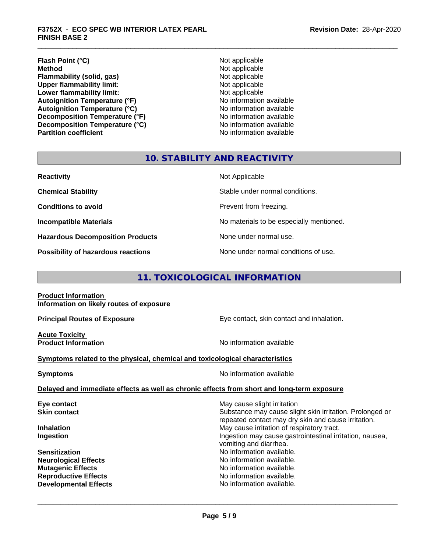#### **Flash Point (°C)**<br> **Method** Not applicable<br> **Method** Not applicable **Flammability (solid, gas)**<br> **Commability limit:**<br>
Upper flammability limit:<br>
Not applicable **Upper flammability limit:**<br> **Lower flammability limit:**<br>
Not applicable<br>
Not applicable **Lower flammability limit:**<br> **Autoignition Temperature (°F)**<br>
Mo information available **Autoignition Temperature (°F) Autoignition Temperature (°C)**<br> **Decomposition Temperature (°F)** No information available **Decomposition Temperature (°F)** No information available<br> **Decomposition Temperature (°C)** No information available **Decomposition Temperature (°C) Partition coefficient Contract Contract Contract Contract Contract Contract Contract Contract Contract Contract Contract Contract Contract Contract Contract Contract Contract Contract Contract Contract Contract Contract**

**Not applicable**<br>Not applicable

#### **10. STABILITY AND REACTIVITY**

| <b>Reactivity</b>                       | Not Applicable                           |
|-----------------------------------------|------------------------------------------|
| <b>Chemical Stability</b>               | Stable under normal conditions.          |
| <b>Conditions to avoid</b>              | Prevent from freezing.                   |
| <b>Incompatible Materials</b>           | No materials to be especially mentioned. |
| <b>Hazardous Decomposition Products</b> | None under normal use.                   |
| Possibility of hazardous reactions      | None under normal conditions of use.     |

#### **11. TOXICOLOGICAL INFORMATION**

**Product Information Information on likely routes of exposure**

**Acute Toxicity** 

**Principal Routes of Exposure Exposure** Eye contact, skin contact and inhalation.

**Product Information Intervention No information available** 

 $\overline{\phantom{a}}$  ,  $\overline{\phantom{a}}$  ,  $\overline{\phantom{a}}$  ,  $\overline{\phantom{a}}$  ,  $\overline{\phantom{a}}$  ,  $\overline{\phantom{a}}$  ,  $\overline{\phantom{a}}$  ,  $\overline{\phantom{a}}$  ,  $\overline{\phantom{a}}$  ,  $\overline{\phantom{a}}$  ,  $\overline{\phantom{a}}$  ,  $\overline{\phantom{a}}$  ,  $\overline{\phantom{a}}$  ,  $\overline{\phantom{a}}$  ,  $\overline{\phantom{a}}$  ,  $\overline{\phantom{a}}$ 

#### **Symptoms related to the physical,chemical and toxicological characteristics**

**Symptoms** No information available

**Delayed and immediate effects as well as chronic effects from short and long-term exposure**

| Substance may cause slight skin irritation. Prolonged or<br><b>Skin contact</b>                 |  |
|-------------------------------------------------------------------------------------------------|--|
| repeated contact may dry skin and cause irritation.                                             |  |
| May cause irritation of respiratory tract.<br><b>Inhalation</b>                                 |  |
| Ingestion may cause gastrointestinal irritation, nausea,<br>Ingestion<br>vomiting and diarrhea. |  |
| No information available.<br><b>Sensitization</b>                                               |  |
| No information available.<br><b>Neurological Effects</b>                                        |  |
| No information available.<br><b>Mutagenic Effects</b>                                           |  |
| No information available.<br><b>Reproductive Effects</b>                                        |  |
| No information available.<br><b>Developmental Effects</b>                                       |  |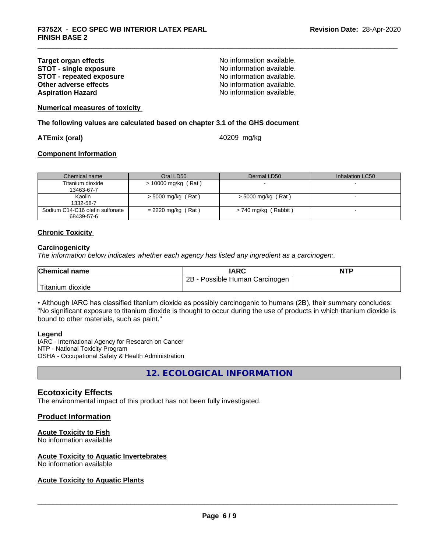#### **Target organ effects No information available.**<br> **STOT - single exposure No information available. STOT** - **single exposure and the state of the STOT** - **single exposure notation No** information available. **STOT - repeated exposure and intervals and information available.**<br> **Other adverse effects CONFING ACCOUNTER CONFING AVAILA No information available. Other adverse effects Aspiration Hazard Aspiration Hazard No information available.**

**Numerical measures of toxicity**

**The following values are calculated based on chapter 3.1 of the GHS document**

#### **ATEmix (oral)** 40209 mg/kg

#### **Component Information**

| Chemical name                   | Oral LD50             | Dermal LD50          | Inhalation LC50 |
|---------------------------------|-----------------------|----------------------|-----------------|
| Titanium dioxide                | $> 10000$ mg/kg (Rat) |                      |                 |
| 13463-67-7                      |                       |                      |                 |
| Kaolin                          | $>$ 5000 mg/kg (Rat)  | > 5000 mg/kg (Rat)   |                 |
| 1332-58-7                       |                       |                      |                 |
| Sodium C14-C16 olefin sulfonate | $= 2220$ mg/kg (Rat)  | > 740 mg/kg (Rabbit) |                 |
| 68439-57-6                      |                       |                      |                 |

#### **Chronic Toxicity**

#### **Carcinogenicity**

*The information below indicateswhether each agency has listed any ingredient as a carcinogen:.*

| <b>Chemical name</b>          | <b>IARC</b>                          | <b>NTF</b> |
|-------------------------------|--------------------------------------|------------|
|                               | 2B<br>Possible Human<br>ı Carcinogen |            |
| l ma<br>⊧dioxide<br>l itanıum |                                      |            |

• Although IARC has classified titanium dioxide as possibly carcinogenic to humans (2B), their summary concludes: "No significant exposure to titanium dioxide is thought to occur during the use of products in which titanium dioxide is bound to other materials, such as paint."

#### **Legend**

IARC - International Agency for Research on Cancer NTP - National Toxicity Program OSHA - Occupational Safety & Health Administration

**12. ECOLOGICAL INFORMATION**

#### **Ecotoxicity Effects**

The environmental impact of this product has not been fully investigated.

#### **Product Information**

#### **Acute Toxicity to Fish**

No information available

#### **Acute Toxicity to Aquatic Invertebrates**

No information available

#### **Acute Toxicity to Aquatic Plants**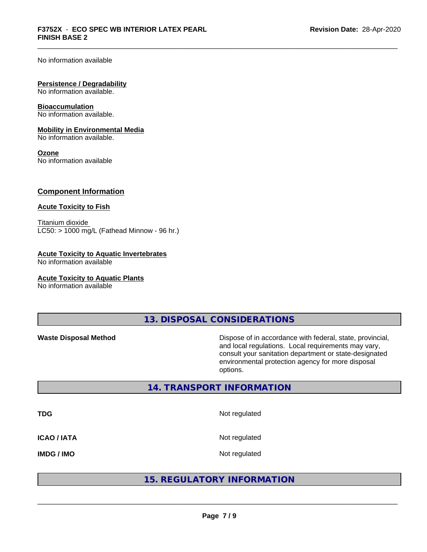No information available

#### **Persistence / Degradability**

No information available.

#### **Bioaccumulation**

No information available.

#### **Mobility in Environmental Media**

No information available.

#### **Ozone**

No information available

#### **Component Information**

#### **Acute Toxicity to Fish**

Titanium dioxide  $LC50:$  > 1000 mg/L (Fathead Minnow - 96 hr.)

#### **Acute Toxicity to Aquatic Invertebrates**

No information available

#### **Acute Toxicity to Aquatic Plants**

No information available

**13. DISPOSAL CONSIDERATIONS**

**Waste Disposal Method** Dispose of in accordance with federal, state, provincial, and local regulations. Local requirements may vary, consult your sanitation department or state-designated environmental protection agency for more disposal options.

#### **14. TRANSPORT INFORMATION**

**TDG** Not regulated **ICAO / IATA** Not regulated **IMDG / IMO** Not regulated

#### **15. REGULATORY INFORMATION**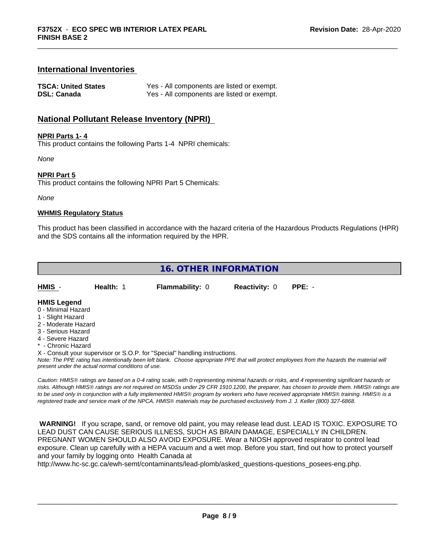#### **International Inventories**

| <b>TSCA: United States</b> | Yes - All components are listed or exempt. |
|----------------------------|--------------------------------------------|
| <b>DSL: Canada</b>         | Yes - All components are listed or exempt. |

#### **National Pollutant Release Inventory (NPRI)**

#### **NPRI Parts 1- 4**

This product contains the following Parts 1-4 NPRI chemicals:

*None*

#### **NPRI Part 5**

This product contains the following NPRI Part 5 Chemicals:

*None*

#### **WHMIS Regulatory Status**

This product has been classified in accordance with the hazard criteria of the Hazardous Products Regulations (HPR) and the SDS contains all the information required by the HPR.

**16. OTHER INFORMATION**

**HMIS** - **Health:** 1 **Flammability:** 0 **Reactivity:** 0 **PPE:** -

#### **HMIS Legend**

- 0 Minimal Hazard
- 1 Slight Hazard
- 2 Moderate Hazard
- 3 Serious Hazard
- 4 Severe Hazard
- **Chronic Hazard**
- X Consult your supervisor or S.O.P. for "Special" handling instructions.

*Note: The PPE rating has intentionally been left blank. Choose appropriate PPE that will protect employees from the hazards the material will present under the actual normal conditions of use.*

*Caution: HMISÒ ratings are based on a 0-4 rating scale, with 0 representing minimal hazards or risks, and 4 representing significant hazards or risks. Although HMISÒ ratings are not required on MSDSs under 29 CFR 1910.1200, the preparer, has chosen to provide them. HMISÒ ratings are to be used only in conjunction with a fully implemented HMISÒ program by workers who have received appropriate HMISÒ training. HMISÒ is a registered trade and service mark of the NPCA. HMISÒ materials may be purchased exclusively from J. J. Keller (800) 327-6868.*

 **WARNING!** If you scrape, sand, or remove old paint, you may release lead dust. LEAD IS TOXIC. EXPOSURE TO LEAD DUST CAN CAUSE SERIOUS ILLNESS, SUCH AS BRAIN DAMAGE, ESPECIALLY IN CHILDREN. PREGNANT WOMEN SHOULD ALSO AVOID EXPOSURE.Wear a NIOSH approved respirator to control lead exposure. Clean up carefully with a HEPA vacuum and a wet mop. Before you start, find out how to protect yourself and your family by logging onto Health Canada at

http://www.hc-sc.gc.ca/ewh-semt/contaminants/lead-plomb/asked\_questions-questions\_posees-eng.php.